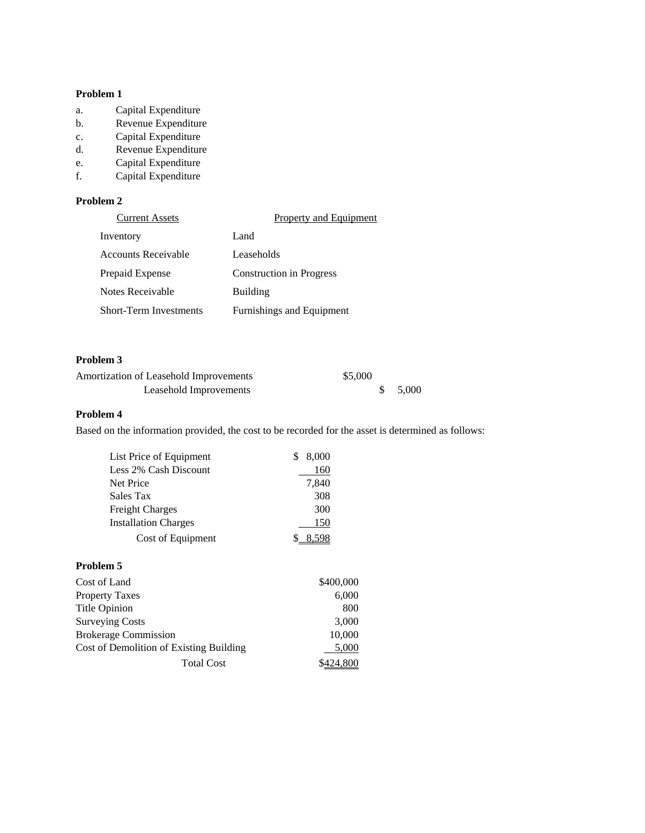#### **Problem 1**

- a. Capital Expenditure
- b. Revenue Expenditure
- c. Capital Expenditure
- d. Revenue Expenditure
- e. Capital Expenditure
- f. Capital Expenditure

## **Problem 2**

| <b>Current Assets</b>         | Property and Equipment          |
|-------------------------------|---------------------------------|
| Inventory                     | Land                            |
| <b>Accounts Receivable</b>    | Leaseholds                      |
| Prepaid Expense               | <b>Construction in Progress</b> |
| Notes Receivable              | Building                        |
| <b>Short-Term Investments</b> | Furnishings and Equipment       |

# **Problem 3**

| Amortization of Leasehold Improvements | \$5,000 |         |
|----------------------------------------|---------|---------|
| Leasehold Improvements                 |         | \$5,000 |

#### **Problem 4**

Based on the information provided, the cost to be recorded for the asset is determined as follows:

| List Price of Equipment     | 8.000 |
|-----------------------------|-------|
| Less 2% Cash Discount       | 160   |
| Net Price                   | 7,840 |
| Sales Tax                   | 308   |
| <b>Freight Charges</b>      | 300   |
| <b>Installation Charges</b> | 150   |
| Cost of Equipment           |       |
|                             |       |

# **Problem 5**

| Cost of Land                            | \$400,000 |
|-----------------------------------------|-----------|
| <b>Property Taxes</b>                   | 6,000     |
| Title Opinion                           | 800       |
| <b>Surveying Costs</b>                  | 3,000     |
| <b>Brokerage Commission</b>             | 10,000    |
| Cost of Demolition of Existing Building | 5,000     |
| <b>Total Cost</b>                       |           |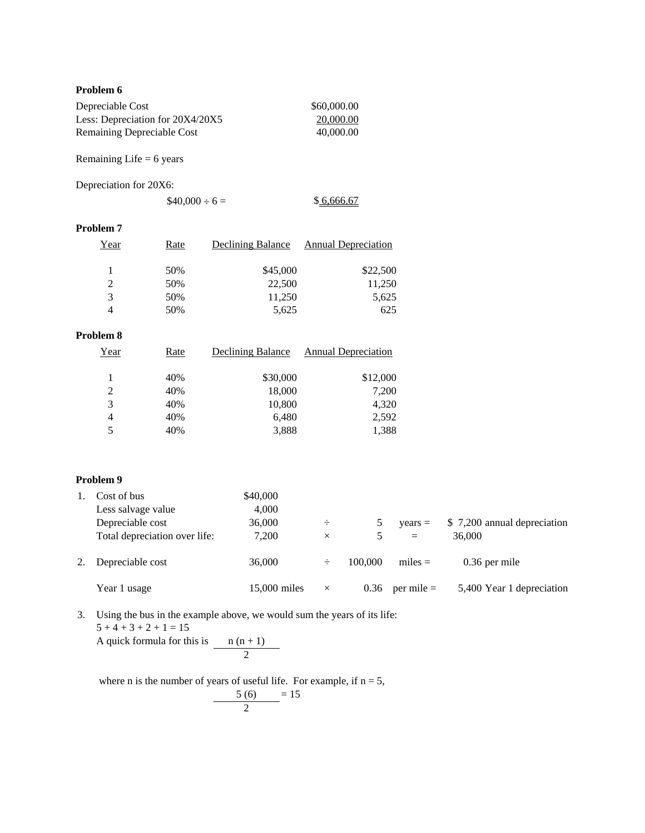#### **Problem 6**

| Depreciable Cost                 | \$60,000.00 |
|----------------------------------|-------------|
| Less: Depreciation for 20X4/20X5 | 20,000.00   |
| Remaining Depreciable Cost       | 40,000.00   |

Remaining Life  $= 6$  years

Depreciation for 20X6:

 $$40,000 \div 6 =$  \$6,666.67

#### **Problem 7**

| Year          | Rate | <b>Declining Balance</b> | <b>Annual Depreciation</b> |
|---------------|------|--------------------------|----------------------------|
|               | 50%  | \$45,000                 | \$22,500                   |
| $\mathcal{L}$ | 50%  | 22,500                   | 11,250                     |
| 3             | 50%  | 11,250                   | 5,625                      |
|               | 50%  | 5,625                    | 625                        |

## **Problem 8**

| Year | Rate | Declining Balance | Annual Depreciation |
|------|------|-------------------|---------------------|
| 1    | 40%  | \$30,000          | \$12,000            |
| 2    | 40%  | 18,000            | 7,200               |
| 3    | 40%  | 10,800            | 4,320               |
| 4    | 40%  | 6,480             | 2,592               |
| 5    | 40%  | 3,888             | 1,388               |

#### **Problem 9**

|    | Cost of bus                   | \$40,000     |          |         |                |                             |
|----|-------------------------------|--------------|----------|---------|----------------|-----------------------------|
|    | Less salvage value            | 4,000        |          |         |                |                             |
|    | Depreciable cost              | 36,000       | ÷        | 5       | $vears =$      | \$7,200 annual depreciation |
|    | Total depreciation over life: | 7,200        | $\times$ | 5.      | $=$            | 36,000                      |
| 2. | Depreciable cost              | 36,000       | ÷        | 100,000 | $miles =$      | $0.36$ per mile             |
|    | Year 1 usage                  | 15,000 miles | $\times$ | 0.36    | $per$ mile $=$ | 5,400 Year 1 depreciation   |

3. Using the bus in the example above, we would sum the years of its life:  $5 + 4 + 3 + 2 + 1 = 15$ 

A quick formula for this is  $n(n + 1)$ 2

where n is the number of years of useful life. For example, if  $n = 5$ ,

$$
\frac{5(6)}{2} = 15
$$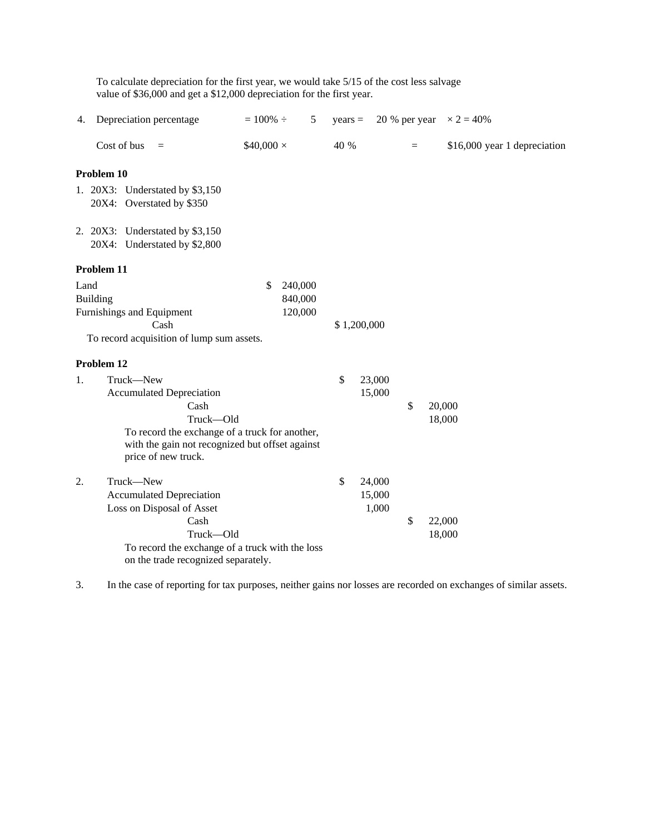|      | value of \$36,000 and get a \$12,000 depreciation for the first year.                                                                                                                         |                                     |           |                           |               |                              |
|------|-----------------------------------------------------------------------------------------------------------------------------------------------------------------------------------------------|-------------------------------------|-----------|---------------------------|---------------|------------------------------|
| 4.   | Depreciation percentage                                                                                                                                                                       | $= 100\% \div$<br>5                 | $years =$ |                           | 20 % per year | $\times 2 = 40\%$            |
|      | Cost of bus<br>$=$                                                                                                                                                                            | $$40,000 \times$                    | 40 %      |                           | $=$           | \$16,000 year 1 depreciation |
|      | Problem 10                                                                                                                                                                                    |                                     |           |                           |               |                              |
|      | 1. 20X3: Understated by \$3,150<br>20X4: Overstated by \$350                                                                                                                                  |                                     |           |                           |               |                              |
|      | 2. 20X3: Understated by \$3,150<br>20X4: Understated by \$2,800                                                                                                                               |                                     |           |                           |               |                              |
|      | Problem 11                                                                                                                                                                                    |                                     |           |                           |               |                              |
| Land | Building<br>Furnishings and Equipment<br>Cash<br>To record acquisition of lump sum assets.                                                                                                    | \$<br>240,000<br>840,000<br>120,000 |           | \$1,200,000               |               |                              |
|      | Problem 12                                                                                                                                                                                    |                                     |           |                           |               |                              |
| 1.   | Truck-New<br><b>Accumulated Depreciation</b><br>Cash<br>Truck-Old<br>To record the exchange of a truck for another,<br>with the gain not recognized but offset against<br>price of new truck. |                                     | \$        | 23,000<br>15,000          | \$            | 20,000<br>18,000             |
| 2.   | Truck-New<br><b>Accumulated Depreciation</b><br>Loss on Disposal of Asset<br>Cash<br>Truck-Old<br>To record the exchange of a truck with the loss<br>on the trade recognized separately.      |                                     | \$        | 24,000<br>15,000<br>1,000 | \$            | 22,000<br>18,000             |

To calculate depreciation for the first year, we would take 5/15 of the cost less salvage

3. In the case of reporting for tax purposes, neither gains nor losses are recorded on exchanges of similar assets.